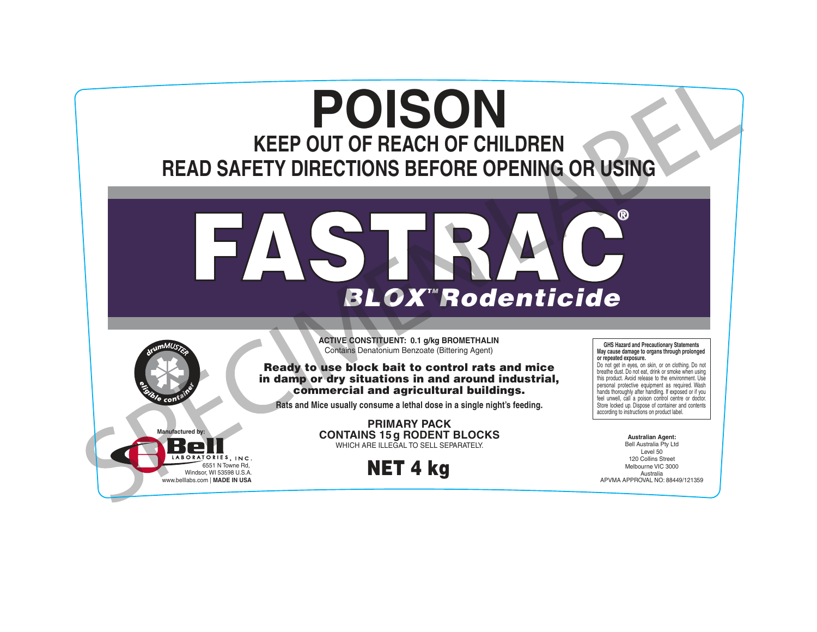